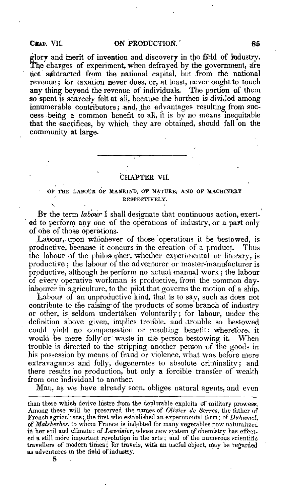#### ON PRODUCTION."

glory and merit of invention and discovery in the field of industry. The charges of experiment, when defrayed by the government, are not subtracted from the national capital, but from the national revenue; for taxation never does, or, at least, never ought to touch any thing beyond the revenue of individuals. The portion of them so spent is scarcely felt at all, because the burthen is divided among innumerable contributors; and, the advantages resulting from success being a common benefit to all, it is by no means inequitable that the sacrifices, by which they are obtained, should fall on the community at large.

#### CHAPTER VII.

#### OF THE LABOUR OF MANKIND, OF NATURE, AND OF MACHINERY RESPECTIVELY.

By the term *labour* I shall designate that continuous action, exerted to perform any one of the operations of industry, or a part only of one of those operations.

Labour, upon whichever of those operations it be bestowed, is productive, because it concurs in the creation of a product. Thus the labour of the philosopher, whether experimental or literary, is productive; the labour of the adventurer or master-manufacturer is productive, although he perform no actual manual work; the labour of every operative workman is productive, from the common daylabourer in agriculture, to the pilot that governs the motion of a ship.

Labour of an unproductive kind, that is to say, such as does not contribute to the raising of the products of some branch of industry or other, is seldom undertaken voluntarily; for labour, under the definition above given, implies trouble, and trouble so bestowed could yield no compensation or resulting benefit: wherefore, it would be mere folly or waste in the person bestowing it. When trouble is directed to the stripping another person of the goods in his possession by means of fraud or violence, what was before mere extravagance and folly, degenerates to absolute criminality; and there results no production, but only a forcible transfer of wealth from one individual to another.

Man, as we have already seen, obliges natural agents, and even

than these which derive lustre from the deplorable exploits of military prowess. Among these will be preserved the names of Olivier de Serres, the father of French agriculture; the first who established an experimental farm; of Duhamel, of Malsherbes, to whom France is indebted for many vegetables now naturalized in her soil and climate: of Lavoisier, whose new system of chemistry has effected a still more important revolution in the arts; and of the numerous scientific travellers of modern times; for travels, with an useful object, may be regarded as adventures in the field of industry.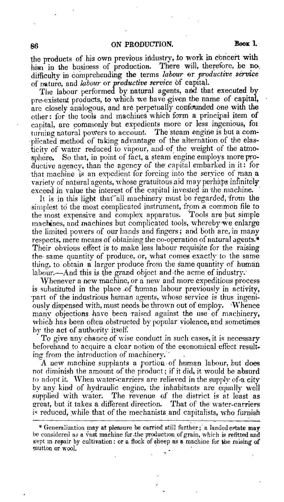the products of his own previous industry, to work in concert with him in the business of production. There will, therefore, be no, difficulty in comprehending the terms labour or productive service of nature, and labour or productive service of capital.

The labour performed by natural agents, and that executed by pre-existent products, to which we have given the name of capital, are closely analogous, and are perpetually confounded one with the other: for the tools and machines which form a principal item of capital, are commonly but expedients more or less ingenious, for turning natural powers to account. The steam engine is but a complicated method of taking advantage of the alternation of the elasticity of water reduced to vapour, and of the weight of the atmo-So that, in point of fact, a steam engine employs more prosphere. ductive agency, than the agency of the capital embarked in it: for that machine is an expedient for forcing into the service of man a variety of natural agents, whose gratuitous aid may perhaps infinitely exceed in value the interest of the capital invested in the machine.

It is in this light that all machinery must be regarded, from the simplest to the most complicated instrument, from a common file to the most expensive and complex apparatus. Tools are but simple machines, and machines but complicated tools, whereby we enlarge the limited powers of our hands and fingers; and both are, in many respects, mere means of obtaining the co-operation of natural agents.\* Their obvious effect is to make less labour requisite for the raising the same quantity of produce, or, what comes exactly to the same thing, to obtain a larger produce from the same quantity of human labour.—And this is the grand object and the acme of industry.

Whenever a new machine, or a new and more expeditious process is substituted in the place of human labour previously in activity, part of the industrious human agents, whose service is thus ingeniously dispensed with, must needs be thrown out of employ. Whence many objections have been raised against the use of machinery, which has been often obstructed by popular violence, and sometimes by the act of authority itself.

To give any chance of wise conduct in such cases, it is necessary beforehand to acquire a clear notion of the economical effect resulting from the introduction of machinery.

A new machine supplants a portion of human labour, but does not diminish the amount of the product; if it did, it would be absurd to adopt it. When water-carriers are relieved in the supply of-a city by any kind of hydraulic engine, the inhabitants are equally well supplied with water. The revenue of the district is at least as great, but it takes a different direction. That of the water-carriers is reduced, while that of the mechanists and capitalists, who furnish

<sup>\*</sup> Generalization may at pleasure be carried still further; a landed estate may be considered as a vast machine for the production of grain, which is refitted and sept in repair by cultivation: or a flock of sheep as a machine for the raising of mutton or wool.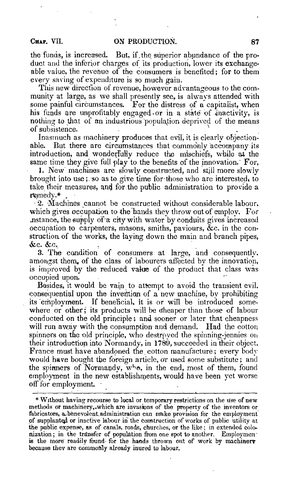## CHAP. VII. ON PRODUCTION. 87

the funds, is increased. But, if the superior abundance of the product and the inferior charges of its production, lower its exchangeable value, the revenue of the consumers is benefited; for to them every saving of expenditure is so much gain.

This new direction of revenue, however advantageous to the community at large, as we shall presently see, is always attended with some painful circumstances. For the distress of a capitalist*,* when his funds are unprofitably engaged,or in a staid \_f ,inactivity*,* is nothing to that of an industrious'population deprived of the means of subsistence.

Inasmuch as machinery produces that evil*,* it is clearly objection *2* able. But there are circumstances that commonly accompany its introduction, and wonderfully reduce the mischiefs, while at the same time they give full play to the benefits of the innovation. For,

1. New machines are slowly constructed*,* and still more slowly brought into use; so as to give time for those who are interested, to take their measures, and for the public administration to provide a remedy.\*

•2. Machines cannot be constructed without considerable labour, which gives occupation to the hands they throw out of employ. For .nstance, the sui\_ply of*'*a city with water by cond*o*its gives increas**e**d occupation to carpenters, masons*,* smiths*,* paviours*,* &c. in the construction of the works, the laying down the main and branch pipes, &c. &c.

3. The condition of consumers at large*,* and consequentl*y*, amongst them, of the class of labourers affected by the inno*v*ation, is improved by the reduced value of the product that class was occupied upon. occupied upon.

Besides, it would be vain to attempt to avoid the transient evil, consequential upon the inve\_i*a*n of a new machine*,* by prohibiting its employment. If beneficial, it is or will be introduced somewhere or other; its products will be cheaper than those of labour conducted on the old principle; and sooner or later that cheapness will run away with the consumption and demand. Had the cotton spinners on the old principle, who destroved the spinning-jennies on their introduction into Normandy, in 1789, succeeded in their object, France must have abandoned the cotton manufacture; every body would have bought the foreign article, or used some substitute; and the spinners of Normandy, who, in the end, most of them, found employment in the new establishments*,* would have been yet worse off for employment.

\* Without having recourse to local or temporary restrictions on the use of new methodsor machin*e*ry,.whichare invaskmsof the prop*e*rty of the inventors or fabricators, a benevolent administration can make provision for the employment' of supplanted or inactive labour in the construction of works of public utility at the public expense, as of canals, roads, churches, or the like; in extended colonization; in the transfer of population from one spot to another, Employmen<sup>.</sup> is the more readily found for the hands thrown out of work by machinery because they are commonly already inured to labour.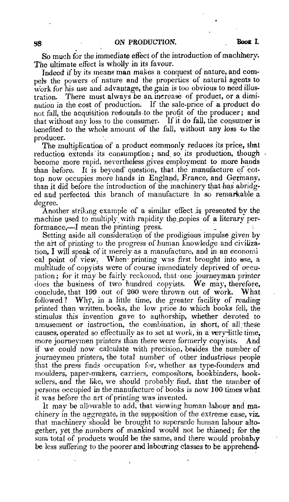**S**o much for the immediat**e** effect of the introduction of macht'*n*ery. The ultimate effect is wholly in its favour.

Indeed if by its means man makes a conquest of na*t*ure*,* and c*o*mpels the p*o*wers of nature and the properties of natural agents to work for his use and advantage, the gain is too obvious to need illus-<br>tration. There must always be an increase of product, or a dimi-There must always be an increase of product, or a diminu*t*ion in the cost of production. If the sale-price of a product do not fall, the acquisition redounds*,*to the profit of the prod*u*c*e*r**;** and that without any loss to the consumer. If it do fall*,* the consumer is benefited to the whole amount of the fall, without any loss to the producer. producer.<br>  $\sum_{n=1}^{\infty}$ 

The multiplication *o*f a pr*o*duct commonly reduces its price*,* t*h*at reduction extends its consumption; and so its production, though b*e*com*e* more rapid, nevertheless gi*v*es employment to more hands than before. *I*t is bey*o*nd*'* questi*o*n, that*.*th.e manufacture of cotto*u* now *9*ccupies more hands in England, France, and G*e*ri*'*nan**y**, than it did before the introduction of the machinery that has abridged and perfected this branch of manufacture in so remarkable a degree.

Another striking example of a similar effect is presented by the machine used to multiply with rapidity the copies of a literary performance,—I mean the printing press.

Setting aside all consideration of the prodigious impulse given by the art of printing to the progress of human knowledge and civilization, I will speak of it merel*y* as a manufacture, and in an economi cal point of view. When printing was first brought into use, a multitude of copyists were of cour*s*e immediately deprived of *o*ccupation; f*o*r it ma*y* be fairl*y* reckoned, that-one journeyman printer does the business of two hundred copyists. W*e* may, theref*o*re, conclude, that 199 out of 200 were thrown out of work. What followed ? Why, in a little time, the greater facility of reading printed than written, boo'ks, *t*he low .price ,to which books fell, the stimulus this invention *g*ave to authorship, whether de*v*o*t*ed *t*o amusement or instruction, the combination, in short, of all these causes, operat*e*d so ef**f**ectuall*y* as to set at work*,* in a *v*ery-little time, more journeymen printers than there were formerly copyists. if we could now calculate with precision, besides the number of journeymen primers, the total number of o*t*her indus**t**rious people that the press finds occupation for, whether as typ*e*-founders and moulders, paper-makers, carriers, compositors, bookbinders, booksellers, and the like, we should probably find, that the number of persons occupied i*n* the manufacture of books is now 100 times what it was befor*e* the art of printing was invented.

It ma*y* be allowable to add, that \_iewing human la*b*our an*d* machinery in the aggregate, in the supposition of the extreme case, viz. that machinery should be brought to supersede human labour altogether, y*e*t.the'numbers *o*f mankind would not be thinned; f*o*r the sum total of products would be t*h*e same, and there would probab,y be less suffering to the poorer and labotrring classes t*o* be apprehend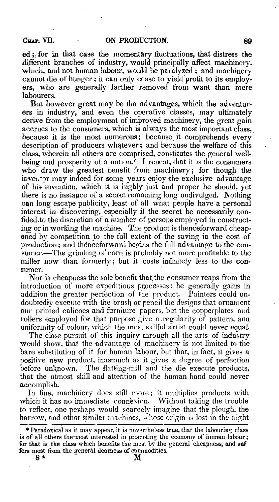ed ;,-for i**n** that c*a*se the moment\_.r*y* fluctuation**s***,* th*a*t dist**res**s the *d*ifferent b**r**anches of industry*,* would principally affect m**a**chinery. which, and not human labour, would be paralyzed; and machinery cannot die of hunger ; it can only cease to yield profit to its employers*,* who are generally farther removed f*/*'om want than mere labourers.

But however great may be th**e** advantages*,* which th**e** adventur*e*rs in industr*y,* and even the operative classes*,* may ultimatel*y* derive from the employment of improved machinery*,* the great gain accrues t*o* the consumers*,* which is always the most important class*,* because it is the most numerous; because it comprehends every description of producers whate**v**er; and because the welfare of this class*,* wherein all others are comprised*,* constitutes the general wellbeing and prosperity of a nation.<sup>\*</sup> I repeat, that it is the consumers wh**o** draw the greatest benefit from machinerv; for though the inve,*t*nr may indeed for s**o**me years enjoy the exclusive advantage of his'mvcnti**o**n*,* which it is highl*y* just and pr**o**per he should*,* yet there is no instance of a secret remaining long undivulged. Nothing can long escape publicity, least of all what people have a personal interest in discovering, especially if the secret be necessarily confided to the discretion of a number of persons employed in constructing or in working the machine. The product is thenceforward cheap**e**ned by **c**ompetition to the full extent of the sa*v*ing in the cost of pr**o**duction ; and thenceforward beg**i**ns the full ad*v*antage to the c*o*nsumer.—The grinding of corn is probably not more profitable to the miller now than formerly; but it **c**osts infinitely less to the consumer.

Nor is cheapness the sole benefit that*,* the consumer reaps from the introduction of more expeditious processes: he generally gains in addition the greater perfection of the product. Painters could unaddition the greater perfection of the product. doubtedl*y* exe*c*ute with the brush *o*r pencil the designs that orna*m*ent our printed calicoes and furniture papers, but the copperplates and rollers employed fo**r** that purpose give a.re*g*ularit*y* of pattern, an*n* uniformity of colour, which the most skilful artist could never equal.

The close pursuit of this inquir*y* through all the arts of industr*y* would show*,* that the \_d*v*antage of ma**c**hiner**y** is not limited to the bare substitution of it for human labour, but that, in fact, it gives a positive new produ*c*t, inas*m*uch as it gi*ve*s a degree of perfection before unknown. The flatting-mill and the die exe**c**ute products*,* that the utmost skill and attention of the human hand could ne*v*er a*c*complish.

In fine, machinery does still more; it multiplies products with which it has no immediate connexion. Without taking the trouble to reflect*,* one perhaps would scarce**h**- imagine that the plough, th*e harro*w*, and ot*her \_imilar machines*,* whos**e origin is lost in the. night**

<sup>\*</sup>Paradoxicalas it may appear,it is neverthelesstru**e**,th**a**t the labourin\_class i**s** of all othe**r**sthe*-*mostint*e*r*e*stedin pr**o**motin**g**the *e*conomyof human labour; for that is the class which benefits the most by the general cheapness, and suf **fers** most from the general dearness of commodities.<br> **8** \* M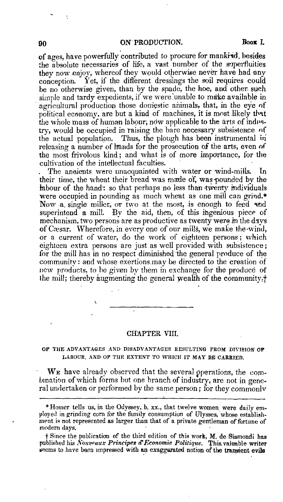**o**f ages, have powerfully contributed to procure for mankin**d***,* **b**esides the a*b*solute necessaries of life*,* a va**s**t number of the s\_perfluities th*e*y now enjoy*,* whereof they would o**t**herwise never have had \_ny conception. Yet, if the different dressings the soil requires could be no otherwise given, than *b*y the spade, the hoe, and other*,* such simple and tardy expedients, if we were unable to make available in agricultural production those domestic animals, that, in the eye of political econom*g*, are but a kind of machines*,* it is most.likely tb-tt the whole mass *o*f *h*uman labpar; n*o*w applicable to the arts of ind*o*stry, would be occupied in raising the bare necessary subsistence of the actual population. Thus, the plough has been instrumental in releasing a number of lrands for the prosecution of the arts*,* even of the most frivolous kind; and what is of more importance*,* for the cultivation of the intellectual faculties.

The ancients were unacquainted with water or wind-mills. In their time*,* the wheat their bread was mazte *d*f*,* was-pounded by the labour of the hand: so that perhaps no less than twenty individuals were occupied in pounding as much wheat as one mill can grind.\* Now a single miller, or two at the most, is enough to feed and superintend a mill. By the aid, then, of this ingenious piece of mechanism, two persons are as productive as twenty were in the days of C*w*sar. Wherefore*,* in every one of our mill\_, We make **t**h*e*-wind*,* or a current of water*,* do the work of eighteen persons; which eighteen extra persons are just as well provided with subsistence; for the mill has in n*o* respect diminished *'*the general produce of *t*he community : and whose e*x*ertions.may be directed to the creation of new products*,* to be given by them in exchange for the produe6 *o*f the mill; thereby augmenting the general wealth of the community, $\dagger$ 

#### CHAPTER VIII.

#### OF THE ADV*A*NTA**G**ES AND DISADVANT*AG*ES RESULTIN*C*\_ F*R*OM DIWISION *O*F LABOUR, AN**D***-*OF THE E**X**TENT TO *W***H**IC*H* I**T** MAY **B**E CARRIED.

WE have alread*y* observe*d* that the several \_perations, the com*b*ination of which forms *b*ut one branch of indus**t**ry, are not in general un*d*ertaken or performed by the same person ; for they commonl*y*

Homer tells us, in the Odyssey, b. xx., that twelve women were daily em-<br>ployed in grinding corn for the family consumption of Ulysses, whose establishment is not represented as larger than that of a private gentleman of fortune of modern days.

Since the publication of the third edition of this work, *M*. de Sismondi has published his *Nouveaux Principes d'Economie Politique*. This valuable writer seems to have baen impressed with an exaggarated notion of the transient evils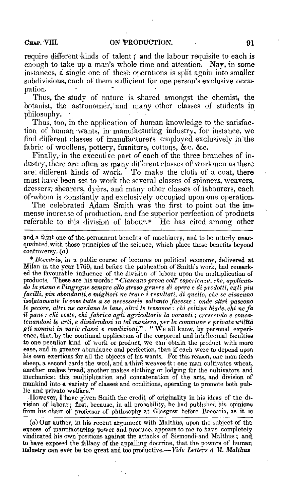### ON PRODUCTION.

#### CHAP. VIII.

require different kinds of talent; and the labour requisite to each is enough to take up a man's whole time and attention. Nav, in some instances, a single one of these operations is split again into smaller subdivisions, each of them sufficient for one person's exclusive occupation.

Thus, the study of nature is shared amongst the chemist, the botanist, the astronomer, and many other classes of students in philosophy.

Thus, too, in the application of human knowledge to the satisfaction of human wants, in manufacturing industry, for instance, we find different classes of manufacturers employed exclusively in the fabric of woollens, pottery, furniture, cottons, &c. &c.

Finally, in the executive part of each of the three branches of industry, there are often as many different classes of workmen as there are: different kinds of work. To make the cloth of a coat, there must have been set to work the several classes of spinners, weavers, dressers; shearers, dyers, and many other classes of labourers, each

of whom is constantly and exclusively occupied upon one operation.<br>The celebrated Adam Smith was the first to point out the immense increase of production, and the superior perfection of products referable to this division of labour.\* He has cited among other

and a faint one of the permanent benefits of machinery, and to be utterly unacquainted with those principles of the science, which place those benefits beyond controversy.  $(a)$ 

\* Beccaria, in a public course of lectures on political economy, delivered at Milan in the year 1769, and before the publication of Smith's work, had remarked the favourable influence of the division of labour upon the multiplication of products. These are his words: "Ciascuno prova coll' esperienza, che, applicando la mano e l'ingegne sempre allo stesso genere di opere e di prodotti, egli piu facilli, piu abondanti e migliori ne travo i resultati, di quello, che se ciascuno isolatamente le cose tutte  $\overline{a}$  se necessarie soltanto facesse : onde altri pascono le pecore, altri ne cardano le lane, altri le tessonoe : chi coltiva biade, chi ne fa il pane: chi veste, chi fabrica agli agricoltorie la voranti ; crescendo e concatenandosi le arti, e dividendosi in tal maniera, per la commune e privata utilità gli nomini in varie classi e condizioni." . "We all know, by personal experience, that, by the continual application of the corporeal and intellectual faculties to one peculiar kind of work or product, we can obtain the product with more ease, and in greater abundance and perfection, than if each were to depend upon his own exertions for all the objects of his wants. For this reason, one man feeds sheep, a second cards the wool, and a third weaves it: one man cultivates wheat, another makes bread, another makes clothing or lodging for the cultivators and mechanics: this multiplication and concatenation of the arts, and division of mankind into a variety of classes and conditions, operating to promote both public and private welfare."

However, I have given Smith the credit of originality in his ideas of the division of labour; first, because, in all probability, he had published his opinions from his chair of professor of philosophy at Glasgow before Beccaria, as it is

 $(a)$  Our author, in his recent argument with Malthus, upon the subject of the excess of manufacturing power and produce, appears to me to have completely vindicated his own positions against the attacks of Sismondi and Malthus; and to have exposed the fallacy of the appalling doctrine, that the powers of human industry can ever be too great and too productive.-- Vide Letters à M. Malthus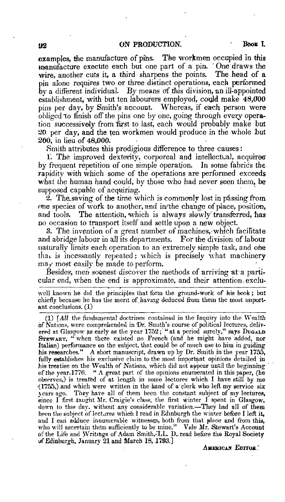examples, the manufacture of pins. The workmen occupied in this **m**anufacture execute each but one part of a pin. "Onedraw*s* the wire*,* another cuts it*,* a third sharpens the points. The head of a pin a*t*one requires two or three distinct operations, each perf*o*rmed by a different indi*v*idual. *B*y means *o*f this di*v*ision, an ill-app*o*inted establishment, with but ten labourers employed, could make 48,*0*00 pins per day, by Smith's acco*u*nt. Whereas, if each person were *obliged* to finish off the pins one by one, going through every operation successiv*e*l*y* from *fu*yst to last, each would pr*o*bably make but 20 per day, and the ten workmen would produce in the whole but 200, in lieu of 48,*0*00.

Smith attributes this pr*o*digious difference to three causes :

1: The impr*o*v*e*d dexterity, corporeal and intellectual, acquiro*a* by frequent repetition of one simple operation. In some fabrics the rapidity with which some of the op*e*rations are perform*e*d exceeds what the human hand could, by those who had never seen them, be supposed capable of acquiring.

2. The.saving of the time which is comm*o*nly lost in p\_issing*"* from *a*ne species of wo*r*k to another, and intthe change of place, position, and tools. The attention, which is always slowly transferred, has no occasion to transport itself and settle upon a new object. no occasion to transport itself and settle upon a n*e*w object.

8. The invention of a great number of machines, which facilitate and abridge labour in all its departments. For the division*,* of labour uaturally limits each operation to an extremely simple task, and one that is incessantly repeated; which is precisely what machinery may most *e*asily be made to perform.

Besides, men soonest discover the methods of arriving at a particular end, when the end is approximate, and their attention exclu-

well known he did the principles that form the ground-work of his book; but chiefly because he has the merit of h*u*vmg d*e*duced from them the most important conclusions. (1)

(1) t*All* the *f*undamental doctrines contained in the Inquiry into the Wealth 0f Nations, were compreh*e*nded in '*D*r. Smith*'*s course of political *l*ectures, delivered at Glasgow as early as the year  $1/52$ ; "at a period surely," says DuGALD S*'*rEwx\_T, 'Vwhen the*r*e existed no Fr*e*nch (and he might *h*ave added, nor Italian) performance *o*n the subject, that could be of much use to him in guiding his researches." *A* short manuscript, drawn up by Dr. Smith in the year 17*5*.**5**, fully establishes his e*x*clusive claim to the most impgrtant opinions detailed in his treatise on the Wealth of *N*ations*,* which did not appear until the beginning ' *o*f the year.1776. *" A* gr*e*at part of the opinions *e*numerated in this paper**,** (he **o***b*serves,) is treated of at l**e**ngth in some le*c*tures which I have still by me -(1755,)*.*and which were written in the hand of a*'*clerk who lefLmy service six 3*e*ars ago. They have all of them *b*een the constant subject of my lectures, since I first *taught Mr. Craigie's class*, the first winter I spent in Glasgow, down to this day, without any considerable variation.--T*h*ey had all **o**f them been the subject of lectures which I read in Edinburgh the winter before I left it, mid I carl ad**d**uce innumerable witnesses, *b*oth from that place and fr**o**m this, who will asc*e*rtain them sufficiently t**o** be mine." Vide Mr. ,S*t*ewart's Accoun**t o**f the Life and )Vritmgs of Adam Smith,*;*LL. D. r*e*ad *b*ef**o**re ;*t*ii*a*Royal Society of Edinburgh, January 21 and March 18, 1793.]

AMERICAN EDITOR.<sup>7</sup>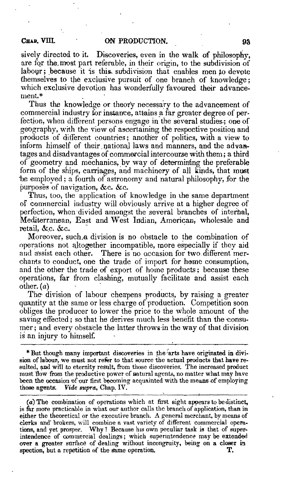### CHAP. VIII.

sively directed to it. Discoveries, even in the walk of philosophy. are for the most part referable, in their origin, to the subdivision of labour; because it is this subdivision that enables men to devote themselves to the exclusive pursuit of one branch of knowledge; which exclusive devotion has wonderfully favoured their advancement.\*

Thus the knowledge or theory necessary to the advancement of commercial industry for instance, attains a far greater degree of perfection, when different persons engage in the several studies; one of geography, with the view of ascertaining the respective position and products of different countries; another of politics, with a view to inform himself of their national laws and manners, and the advantages and disadvantages of commercial intercourse with them; a third of geometry and mechanics, by way of determining the preferable form of the ships, carriages, and machinery of all kinds, that must be employed; a fourth of astronomy and natural philosophy, for the purposes of navigation, &c. &c.

Thus, too, the application of knowledge in the same department of commercial industry will obviously arrive at a higher degree of perfection, when divided amongst the several branches of internal, Mediterranean, East and West Indian, American, wholesale and retail. &c. &c.

Moreover, such a division is no obstacle to the combination of operations not altogether incompatible, more especially if they aid and assist each other. There is no occasion for two different merchants to conduct, one the trade of import for home consumption, and the other the trade of export of home products; because these operations, far from clashing, mutually facilitate and assist each other,  $(a)$ 

The division of labour cheapens products, by raising a greater quantity at the same or less charge of production. Competition soon obliges the producer to lower the price to the whole amount of the saving effected; so that he derives much less benefit than the consumer; and every obstacle the latter throws in the way of that division is an injury to himself.

\*But though many important discoveries in the arts have originated in division of labour, we must not refer to that source the actual products that have resulted, and will to eternity result, from those discoveries. The increased product must flow from the productive power of natural agents, no matter what may have been the occasion of our first becoming acquainted with the means of employing those agents. Vide supra, Chap. IV.

(a) The combination of operations which at first sight appears to be distinct, is far more practicable in what our author calls the branch of application, than in either the theoretical or the executive branch. A general merchant, by means of clerks and brokers, will combine a vast variety of different commercial operations, and yet prosper. Why? Because his own peculiar task is that of superintendence of commercial dealings; which superintendence may be extended over a greater surface of dealing without incongruity, being on a closer in spection, but a repetition of the same operation. Т.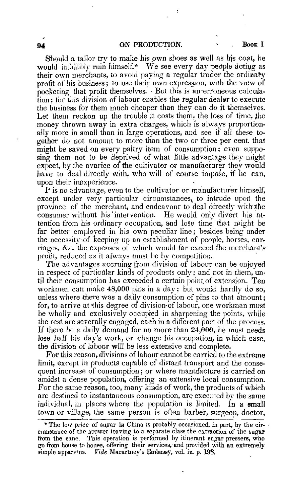Should a tailor try to mak*e* his *9*wn shoes **a**s **w**ell as his coat**,** he **would** infallibly ruin himself.\* We see every day-people acting as their own merchants, to avoid paying a regular trader the ordinary profit of his business; to use their own expression, with the view of pocketing that profit themsel*v*es. *,* But this is an**-**erroneous calculati**o**n ; for this di*v*ision of labour enabl*e*s the regular dealer to execute the business for them much cheaper than they can do it themsel*v*es. Let them reckon up the trouble it costs them, the loss of time, the money thrown away in extra charges, which is always proportionally more in small than in large operations*,* and see if all these together do not am*o*unt to m**o**re than the two or three per cesat, that might be saved on e*v*ery paltry item of consumption ; even supposing them not to *b*e deprived of what tit**t**le-advantage the*5"*might expect, by the avarice of the cultivator or manufacturer they would have to deal directly with, who will of course impose, if he can, upon their inexperience.

I' is no advantage, even to the cultivator or manufacturer himself, except under very particular circumstances, to intrude upon the province of the merchant, and endeavonr to deal directly with the consumer without his'intervention. He would only divert his\_ attention from his ordinary occupation*,* and lo\*e time that might be far better employed in his own peculiar line; besides being under the necessity of keeping up an establishment of people, horses, carriages*,* &c.'the expenses of which would far exceed [he merchant*'*s profit*,* reduced as it always mu*s*t be by competition.

The advantages accruing from division of labour can be enj*o*yed in respect of partiealar kinds of products onl**y**; and not in t**t**iem*,* until their consumption has exceeded a certain point of extension. Ten workmen can make 48*,*000 pins in a day; but would hardly do so*,* unless where there was a daily consumption of pins to that amount; for, to arrive at this degree of division of labour, one workman must be wholly and exclusively occupied in sharpening the points, while the rest are severally engaged*,* each in a different part of the pr*o*cess. If there be a daily demand for no more than  $24,000$ , he must needs lose half his day*'*s work*, o*r change his occupation, in which case*,* the division of labour will be less extensive and complete.

For this reason, divisions of labour cannot be carried to the extreme limit, except in products capable of distant transport and the consequent increa*s*e of consumption ; or where manufacture is carried on amidst a dense population, offering an extensive local consumption. For the same reason, too, many kinds of work, the products of which are destine*d* to instantaneous consumption*,* are executed by the same individual*,* in places where the population is limited. In a small town or vitlage*,* the same 'person is often barbe'r*,* surgeon, doc**to**r*,*

<sup>\*</sup>Th*e* low pric*e* of sugar in China is probabl*y*occasioned,in part, by the circumstance of the grower leaving to a separate class the extraction of the sugar<br>from the cane. This operation is performed by itinerant sugar pressers, who gofromhouseto hous*e*,offeringtheir s*e*rvices*,'*and providedwith an extremely  $*$ imple appar $*$ <sup>tus.</sup> *Vide* Macartney's Embassy, vol. iv. p. 198.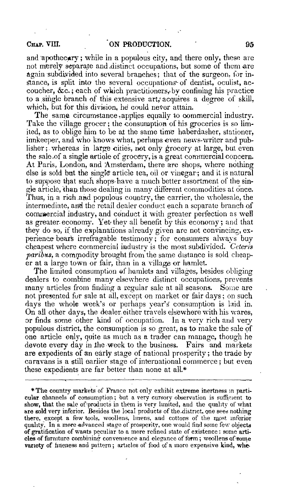#### CHAP. VIII.

and apothecary; while in a populous city, and there only, these are not merely separate and distinct occupations, but some of them are again subdivided into several branches; that of the surgeon, for instance, is split into the several occupations of dentist, oculist, accoucher, &c.; each of which practitioners, by confining his practice to a single branch of this extensive art, acquires a degree of skill, which, but for this division, he could never attain.

The same circumstance, applies equally to commercial industry. Take the village grocer; the consumption of his groceries is so limited, as to oblige him to be at the same time haberdasher, stationer, innkeeper, and who knows what, perhaps even news-writer and publisher; whereas in large cities, not only grocery at large, but even the sale of a single article of grocery, is a great commercial concern. At Paris, London, and Amsterdam, there are shops, where nothing else is sold but the single article tea, oil or vinegar; and it is natural to suppose that such shops have a much better assortment of the single article, than those dealing in many different commodities at once. Thus, in a rich and populous country, the carrier, the wholesale, the intermediate, and the retail dealer conduct each a separate branch of commercial industry, and conduct it with greater perfection as well as greater economy. Yet they all benefit by this economy; and that they do so, if the explanations already given are not convincing, experience bears irrefragable testimony; for consumers always buy cheapest where commercial industry is the most subdivided. Ceteris *paribus*, a commodity brought from the same distance is sold cheaper at a large town or fair, than in a village or hamlet.

The limited consumption of hamlets and villages, besides obliging dealers to combine many elsewhere distinct occupations, prevents many articles from finding a regular sale at all seasons. Some are not presented for sale at all, except on market or fair days; on such days the whole week's or perhaps year's consumption is laid in. On all other days, the dealer either travels elsewhere with his wares, or finds some other kind of occupation. In a very rich and very populous district, the consumption is so great, as to make the sale of one article only, quite as much as a trader can manage, though he devote every day in the week to the business. Fairs and markets are expedients of an early stage of national prosperity; the trade by caravans is a still earlier stage of international commerce; but even these expedients are far better than none at all.\*

\* The country markets of France not only exhibit extreme inertness in particular channels of consumption; but a very cursory observation is sufficient to show, that the sale of products in them is very limited, and the quality of what are sold very inferior. Besides the local products of the district, one sees nothing there, except a few tools, woollens, linens, and cottons of the most inferior quality. In a more advanced stage of prosperity, one would find some few objects of gratification of wants peculiar to a more refined state of existence: some articles of furniture combining convenience and elegance of form; woollens of some variety of fineness and pattern; articles of food of a more expensive kind, whe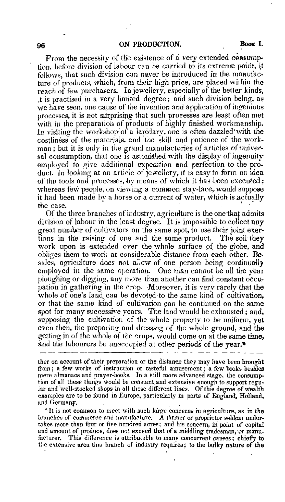From the necessity of the existence of *a* very extended consumption, before division of labour can be carried to its extreme point, it foll*o*ws*,* that such division can never b*e* introduced *i*n the manufae. ture of products*,* which*,* from their hi*g*h price*,* are placed within the reach of few purchasers. In jewellery*,* especially of the better kinds*,* .t is practised in a very limited degree; arid such di*v*ision bein*g,* as we have seen, one cause of the invention and application of ingenious processes*,* it is not s\_rprising- that such proc*e*sses are least often met with in the preparation of products of highly finished workmanship. In visiting the workshop of a lapidary, one is often dazzled with the costliness of the materials, and the skill and patience of the workman; but it is only in the grand manufactories of articles of universal consumption, that one is astonished with the display of ingenuity employed to give additional expedition and perfection to the prod*u*ct. In looking at an article of jeweller*y***,** it is easy *t*o form an idea of the tools and processes, by means *o*f which it has been *e*xecuted ; whereas few people, on viewing a common stav-lace, would suppose it had been made by a horse or a current of water, which is actually **the case.**  $\blacksquare$ 

Of the three branches of industry*,* agriculture is the one\_tha\_admits division of labour in the least degree. It is impossible to collect any great number of cultivators on the same spot*,* to use their joint exertions in the raising of one and the same product. The soilth*e*y Work upon is extended over the whole surface of. the globe*,* and obliges them to work at considerable distance from each other. B*e*. sides, agriculture does not allow of one person being continually employed in the same operation. One man cannot be all the year ploughing or digging*,* any m*o*re than another can find constant occupation in gathering in the crop. Moreover, it is very rarely that the whole of one's land can be devoted to the same kind of cultivation, or that the same kind of cultivation can be continued on the same spot for man*y* success*h'*e years. The land would be exhausted ; and, supposing the cultivation" of the whole propert*y* to be unif*o*rm*,* yet e*ve*n then*,* the preparing and dressing of *t*he whole gr*o*und*,* and the getting in of the whole of the crops*,* would come on at the sam*e* tim*e,* and the *labourers* be unoccupied at other periods of the year.\*

ther on account of their preparation or the distance they may have been brought from; a f*e*w works of instruction or tasteful amusement; a f*e*w booksbesid*e*s mere almanacs and prayer-books. In a still more advanced stage, the consump-<br>time of all there there gravel be constant and actualize as a state. tion of all these things would be constant and extensive enough to support regular and well-stocked shops in all these different lines. Of this degree of wealth exampl*e*sar*e* to be f*o*undin l\_.urope,particularlyin parts of **E**n*g*land,Holland, and Germany.

\*It is not commonto m*e*et with such l\_ge concerns in a\_ieultur*e*, as in the branches of commerce and manufacture. A farmer or proprietor seldom undertakes mor*e* than f*o*uror fi*v*e hundr*e*dacr*e*s; and his conc*e*rn*,*in point of capi*t*al and amount of produce, does not exceed that of a middling tradesman, or manufacturer. This difference is attributable to many concurrent causes; chiefly to ti,e e**x**t*e*nsi**v**e**ar**eat**h**is branch o**f** industr**y** requires**; t**o **t**he bul**kyn**atu**r**e**of** the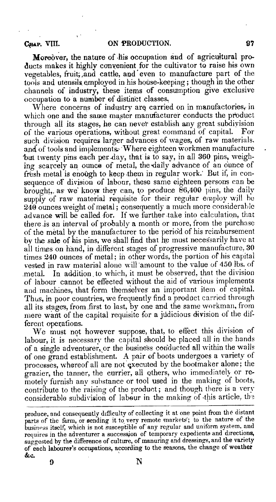**More**b**ver, the n**a**t**u**re** o**f**.h**is occu**pa**ti**o**n** and of **a**gr**ic**ul**t**ur**a**l p**ro**ducts makes it highly convenient for the culti*v*ator to raise his own vegetables, fruit;*,*and cattl*e*, and*'*even to manufacture part of the tools and utensils employed in his house-keeping ; though in the other channels of industry, these items of c*o*nsmnption give exclusi*v*e occupation to a number of distinct classes.

Where concerns of industry arq carried on in manufactories, in which one and the same master manufacturer conducts the product through all its stages, he can never establish any great subdiyision *o*f the various operations, without great command of capital. For such division require**s** larger advances of wages, of raw materials, and of tools and implements. Where eighteen workmen manufacture but twenty pins each per day, that is to say, in all 360 pins, weighing scarcely an ounce of metal, the daily advance of an ounce of fresh metal is enough to keep them in regular work." But if, in consequence o**t**" division of labour, these same eighteen persons can be bro*0*ght,, as **w**e' kno\_ the**y** can**,** to **p**roduce 86**,**4**00** pins, the dail**y** su**pp**ly of raw material requisite for **t**heir regular e\_n**p**loy will be *2*4**0** ounces weight of metal; consequently a much more considerable advance will be called for. If we further take into calculation, that there.is an interval of probably a mon**t**h or more, from the purchase of **t**he metal by **t**he manufacturer to **t**he period of his reimbursement by the sale of his pins, we shall find that he must necessarily have at all ti*me*s on hand, i**n** different stages o*f* progressive manufac**t**ure*,* 30 times 240 ounces **o**f metal ; in other words, **t**he **p**ortion o\_' his ca**p**i**t**al vested in raw material alone wilt'am**o**unt to the value of 45**0** tbs. of .metal. In addition*,* to which, it must be observed, that the di*v*ision of labour cannot be effected without the aid of various implements and machines, that form themselves an important item of capital. Thus, in poor countries, we frequently find a product carried through all its stages, from .first to last, by one and the same w**o**rkman, from mere want of the capital requisite for a judicious division of the different operations.

We must not however suppose, that, to effect this division of labour, it is necessar*y* the capital should be placed all in the hands of a single adventurer, or the busine**'**ss eon'duc*t*ed all within the walls of one grand establishment. *A* pair of boots undergoes a variet*y* of processes, whereof all are not\_xecuted by the bootmaker alone; the grazier, the tanner, the currier, all others, who immediately or remotely furnish any substance or t*o*ol used in the making of bo*o*ts, contribute to the raising of the product; and though there is a ver*y* considerabl*e* subdivi**s**ion of labour in the making of *4*!fis article*,* tb'\_

produce, and consequently &ffieulty of collecting it at one point from the distant parts of the farm, or **s**ending it to very remote markets'; to the nature *o*f the business itself, which is not susceptible of any regular and uniform system, and requires in the adventurer a succession of temporary expedients and direction**s**, suggested by the difference of culture, of manurin*g* and dressings, and the variety of each labourer's occupations, according to the seasons, the change of weather &c.<br>
9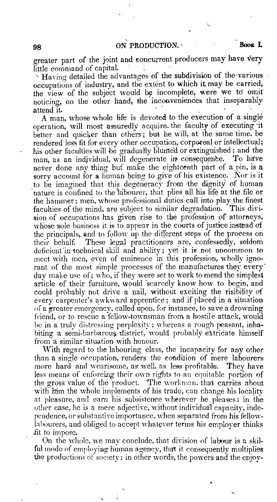greater part of the joint and concurrent producers may have very little command of capital.

Having detailed the advantages of the subdivision of the various occupations of industry, and the extent to which it may be carried, the view of the subject would be incomplete, were we to omit noticing, on the other hand, the inconveniences that inseparably attend it.

A man, whose whole life is devoted to the execution of a single operation, will most assuredly acquire the faculty of executing it better and quicker than others; but he will, at the same time, be rendered less fit for every other occupation, corporeal or intellectual; his other faculties will be gradually blunted or extinguished; and the man, as an individual, will degenerate in consequence. To have never done any thing but make the eighteenth part of a pin, is a sorry account for a human being to give of his existence. Nor is it to be imagined that this degeneracy from the dignity of human nature is confined to the labourer, that plies all his life at the file or the hammer; men, whose professional duties call into play the finest faculties of the mind, are subject to similar degradation. This division of occupations has given rise to the profession of attorneys, whose sole business it is to appear in the courts of justice instead of the principals, and to follow up the different steps of the process on These legal practitioners are, confessedly, seldom their behalf. deficient in technical skill and ability; yet it is not uncommon to meet with men, even of eminence in this profession, wholly ignorant of the most simple processes of the manufactures they every day make use of; who, if they were set to work to mend the simplest article of their furniture, would scarcely know how to begin, and could probably not drive a nail, without exciting the risibility of every carpenter's awkward apprentice; and if placed in a situation of a greater emergency, called upon, for instance, to save a drowning friend, or to rescue a fellow-townsman from a hostile attack, would be in a truly distressing perplexity; whereas a rough peasant, inhabiting a semi-barbarous district, would probably extricate himself from a similar situation with honour.

With regard to the labouring class, the incapacity for any other than a single occupation, renders the condition of mere labourers more hard and wearisome, as well, as less profitable. They have less means of enforcing their own rights to an equitable portion of the gross value of the product. The workman, that carries about with him the whole implements of his trade, can change his locality at pleasure, and earn his subsistence wherever he pleases: in the other case, he is a mere adjective, without individual capacity, independence, or substantive importance, when separated from his fellowlabourers, and obliged to accept whatever terms his employer thinks fit to impose.

On the whole, we may conclude, that division of labour is a skilful mode of employing human agency, that it consequently multiplies the productions of society; in other words, the powers and the enjoy-